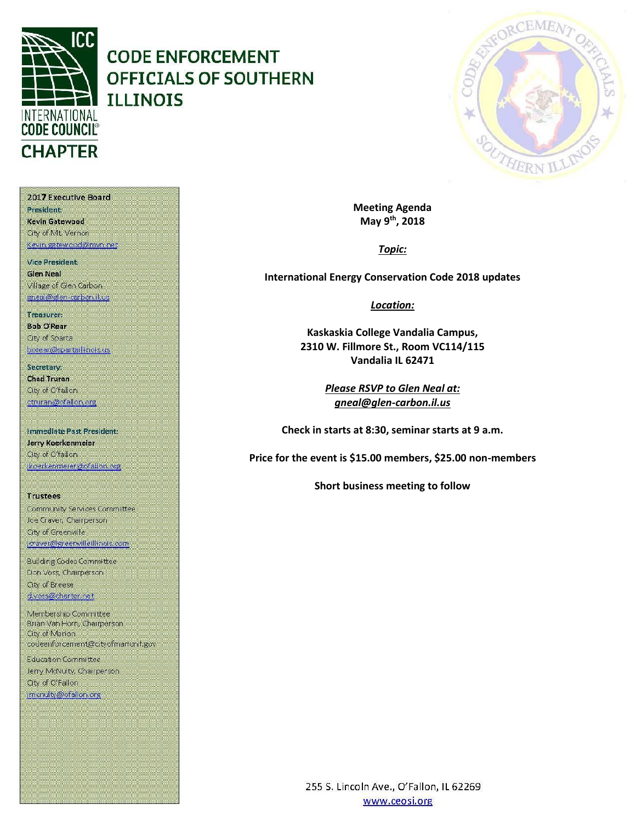

# **CODE ENFORCEMENT OFFICIALS OF SOUTHERN ILLINOIS**



**Meeting Agenda May 9th, 2018**

*Topic:*

**International Energy Conservation Code 2018 updates**

*Location:*

**Kaskaskia College Vandalia Campus, 2310 W. Fillmore St., Room VC114/115 Vandalia IL 62471**

> *Please RSVP to Glen Neal at: gneal@glen-carbon.il.us*

**Check in starts at 8:30, seminar starts at 9 a.m.**

**Price for the event is \$15.00 members, \$25.00 non-members**

**Short business meeting to follow**

2017 Executive Board **President:** Kevin Gatewood City of Mt. Vernon

Kevin gatewood@mvn.net

Vice President: **Glen Neal** Village of Glen Carbon gneal@glen-carbon.il.us

Treasurer: **Bob O'Rear Oty of Sparta** borear@spartaillinois.us

Secretary: **Chad Truran** City of O'fallon. ctruran@ofallon.org

Immediate Past President: Jerry Koerkenmeier City of O'fallon (koerkenmerer@ofallon.org)

**Trustees** Community Services Committee Joe Craver, Champerson City of Greenville joraver@greenvilleillinois.com

**Building Codes Committee** Don Voss, Chairperson. **City of Breese** d.voss@charter.net

Membership Committee Brian Van Horn, Chairperson City of Marion. codeenforcement@cityofmarionil.gov

Education Committee Jerry McNulty, Chairperson. City of O'Fallon imenulty@ofallor.org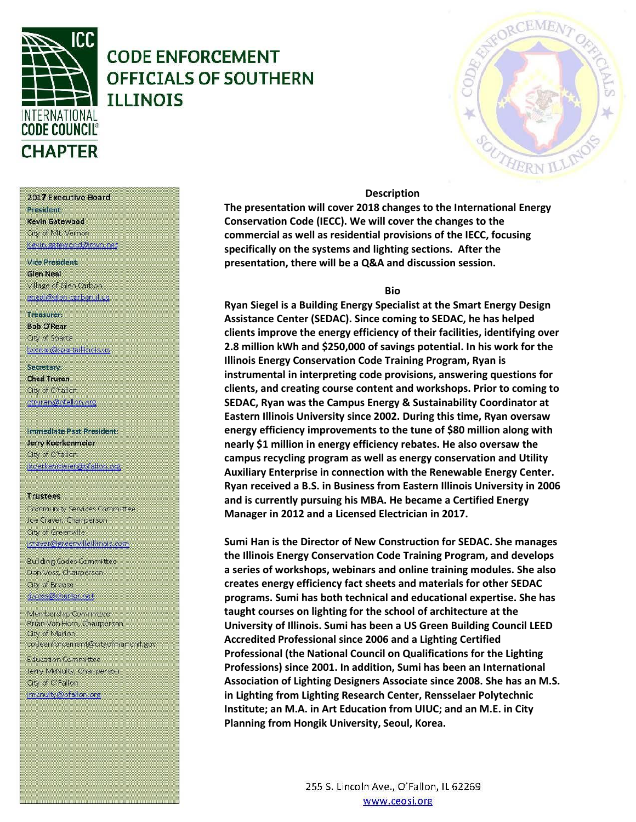

### **CODE ENFORCEMENT OFFICIALS OF SOUTHERN TLLTNOTS**

### **Description**

**The presentation will cover 2018 changes to the International Energy Conservation Code (IECC). We will cover the changes to the commercial as well as residential provisions of the IECC, focusing specifically on the systems and lighting sections. After the presentation, there will be a Q&A and discussion session.** 

### **Bio**

**Ryan Siegel is a Building Energy Specialist at the Smart Energy Design Assistance Center (SEDAC). Since coming to SEDAC, he has helped clients improve the energy efficiency of their facilities, identifying over 2.8 million kWh and \$250,000 of savings potential. In his work for the Illinois Energy Conservation Code Training Program, Ryan is instrumental in interpreting code provisions, answering questions for clients, and creating course content and workshops. Prior to coming to SEDAC, Ryan was the Campus Energy & Sustainability Coordinator at Eastern Illinois University since 2002. During this time, Ryan oversaw energy efficiency improvements to the tune of \$80 million along with nearly \$1 million in energy efficiency rebates. He also oversaw the campus recycling program as well as energy conservation and Utility Auxiliary Enterprise in connection with the Renewable Energy Center. Ryan received a B.S. in Business from Eastern Illinois University in 2006 and is currently pursuing his MBA. He became a Certified Energy Manager in 2012 and a Licensed Electrician in 2017.**

**Sumi Han is the Director of New Construction for SEDAC. She manages the Illinois Energy Conservation Code Training Program, and develops a series of workshops, webinars and online training modules. She also creates energy efficiency fact sheets and materials for other SEDAC programs. Sumi has both technical and educational expertise. She has taught courses on lighting for the school of architecture at the University of Illinois. Sumi has been a US Green Building Council LEED Accredited Professional since 2006 and a Lighting Certified Professional (the National Council on Qualifications for the Lighting Professions) since 2001. In addition, Sumi has been an International Association of Lighting Designers Associate since 2008. She has an M.S. in Lighting from Lighting Research Center, Rensselaer Polytechnic Institute; an M.A. in Art Education from UIUC; and an M.E. in City Planning from Hongik University, Seoul, Korea.**

2017 Executive Board President

Kevin Gatewood City of Mt. Vernon Kevin gatewood@nivn.net

Vice President **Glen Neal** Village of Glen Carbon gneal@glen-carbon.il.us

Treasurer:

**Bob O'Rear Oty of Sparta** borear@spartaillinois.us

Secretary: **Chad Truran** City of O'fallon ctruran@ofallon.org

Immediate Past President: Jerry Koerkenmeier City of O'fallon jkoerkermerer@ofallon.org

**Trustees** 

Community Services Committee Joe Craver, Chairperson City of Greenville joraver@greenvilleillinois.com

**Building Codes Committee** Don Voss, Chairperson. City of Breese d.voss@charter.net

Membership Committee Brian Van Horn, Chairperson City of Marion codeenforcement@cityofmarionil.gov

**Education Committee** Jerry McNulty, Chairperson. City of O'Fallon imenuity@ofallon.org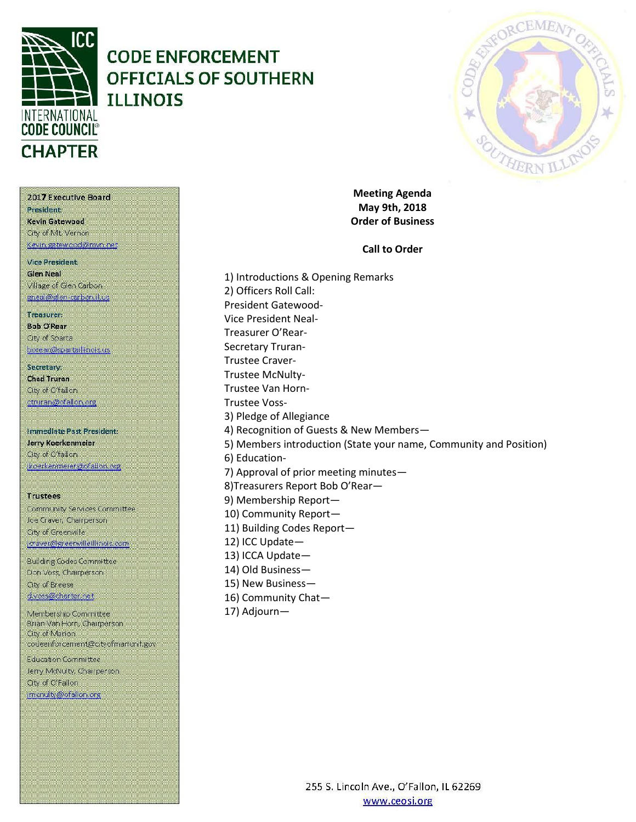

# **CODE ENFORCEMENT OFFICIALS OF SOUTHERN ILLINOIS**



**Meeting Agenda May 9th, 2018 Order of Business**

**Call to Order**

Kevin Gatewood City of Mt. Vernon Kevin gatewood@mvn.net **Vice President. Glen Neal** Village of Glen Carbon

2017 Executive Board

gneal@glen-carbon.il.us

Treasurer: **Bob O'Rear** 

**President** 

Oty of Sparta borear@spartaillinois.us

Secretary: **Chad Truran** City of O'fallon. ctruran@ofallon.org

Immediate Past President: Jerry Koerkenmeier City of O'fallon (koerkenmerer@ofallon.org)

**Trustees** Community Services Committee Joe Craver, Champerson City of Greenville joraver@greenvilleillinois.com

**Building Codes Committee** Don Voss, Chairperson. City of Breese d.voss@charter.net

Membership Committee Brian Van Horn, Chairperson City of Marion codeenforcement@cityofmarionil.gov

**Education Committee** Jerry McNulty, Chairperson. City of O'Fallon imenulty@ofallor.org

1) Introductions & Opening Remarks 2) Officers Roll Call: President Gatewood-Vice President Neal-Treasurer O'Rear-Secretary Truran-Trustee Craver-Trustee McNulty-Trustee Van Horn-Trustee Voss-3) Pledge of Allegiance 4) Recognition of Guests & New Members— 5) Members introduction (State your name, Community and Position) 6) Education-7) Approval of prior meeting minutes— 8)Treasurers Report Bob O'Rear— 9) Membership Report— 10) Community Report— 11) Building Codes Report— 12) ICC Update— 13) ICCA Update— 14) Old Business— 15) New Business—

16) Community Chat—

17) Adjourn—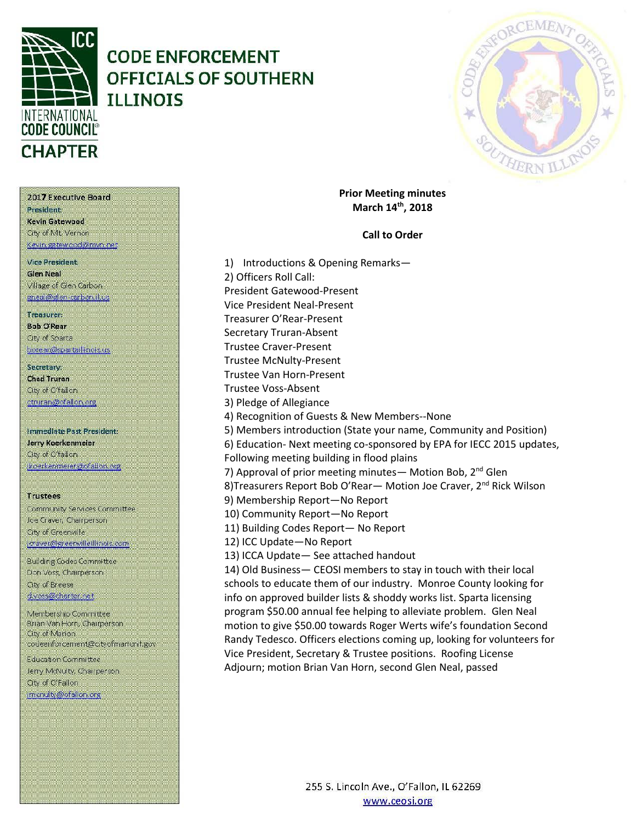

# **CODE ENFORCEMENT** OFFICIALS OF SOUTHERN **ILLINOIS**



**Prior Meeting minutes** March 14th, 2018

### **Call to Order**

1) Introductions & Opening Remarks-2) Officers Roll Call: President Gatewood-Present Vice President Neal-Present Treasurer O'Rear-Present **Secretary Truran-Absent Trustee Craver-Present Trustee McNulty-Present Trustee Van Horn-Present** Trustee Voss-Absent 3) Pledge of Allegiance 4) Recognition of Guests & New Members--None 5) Members introduction (State your name, Community and Position) 6) Education- Next meeting co-sponsored by EPA for IECC 2015 updates, Following meeting building in flood plains 7) Approval of prior meeting minutes - Motion Bob, 2<sup>nd</sup> Glen 8) Treasurers Report Bob O'Rear - Motion Joe Craver, 2<sup>nd</sup> Rick Wilson 9) Membership Report-No Report 10) Community Report-No Report 11) Building Codes Report- No Report 12) ICC Update-No Report 13) ICCA Update-See attached handout 14) Old Business- CEOSI members to stay in touch with their local schools to educate them of our industry. Monroe County looking for info on approved builder lists & shoddy works list. Sparta licensing program \$50.00 annual fee helping to alleviate problem. Glen Neal motion to give \$50.00 towards Roger Werts wife's foundation Second Randy Tedesco. Officers elections coming up, looking for volunteers for Vice President, Secretary & Trustee positions. Roofing License

Adjourn; motion Brian Van Horn, second Glen Neal, passed

255 S. Lincoln Ave., O'Fallon, IL 62269 www.ceosi.org

President Kevin Gatewood City of Mt. Vernon Kevin gatewood@mvn.net

2017 Executive Board

Viro Prosident **Glen Neal** Village of Glen Carbon gneal@glen-carbon.il.us

#### Treasurer:

**Bob O'Rear** Oty of Sparta borear@spartaillinois.us

Secretary: **Chad Truran** City of O'fallon. ctruran@ofallon.org

Immediate Past President: Jerry Koerkenmeier City of O'fallon (koerkenmerer@ofallon.org)

**Trustees** 

Community Services Committee Joe Craver, Champerson City of Greenville joraver@greenvilleillinois.com

**Building Codes Committee** Don Voss, Chairperson. City of Breese d.voss@charter.net

Membership Committee Brian Van Horn, Chairperson. City of Marion codeenforcement@cityofmarionil.gov

**Education Committee** Jerry McNulty, Chairperson. City of O'Fallon imenuity@ofallon.org